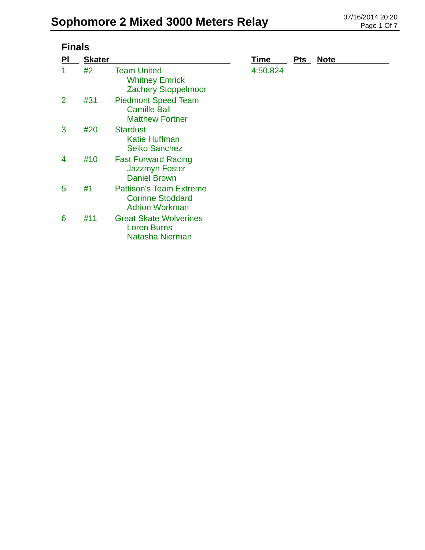|    | <b>Finals</b> |                                                                                    |             |            |             |  |  |
|----|---------------|------------------------------------------------------------------------------------|-------------|------------|-------------|--|--|
| PI | <b>Skater</b> |                                                                                    | <b>Time</b> | <b>Pts</b> | <b>Note</b> |  |  |
| 1  | #2            | <b>Team United</b><br><b>Whitney Emrick</b><br><b>Zachary Stoppelmoor</b>          | 4:50.824    |            |             |  |  |
| 2  | #31           | <b>Piedmont Speed Team</b><br><b>Camille Ball</b><br><b>Matthew Fortner</b>        |             |            |             |  |  |
| 3  | #20           | <b>Stardust</b><br><b>Katie Huffman</b><br><b>Seiko Sanchez</b>                    |             |            |             |  |  |
| 4  | #10           | <b>Fast Forward Racing</b><br><b>Jazzmyn Foster</b><br><b>Daniel Brown</b>         |             |            |             |  |  |
| 5  | #1            | <b>Pattison's Team Extreme</b><br><b>Corinne Stoddard</b><br><b>Adrion Workman</b> |             |            |             |  |  |
| 6  | #11           | <b>Great Skate Wolverines</b><br><b>Loren Burns</b><br>Natasha Nierman             |             |            |             |  |  |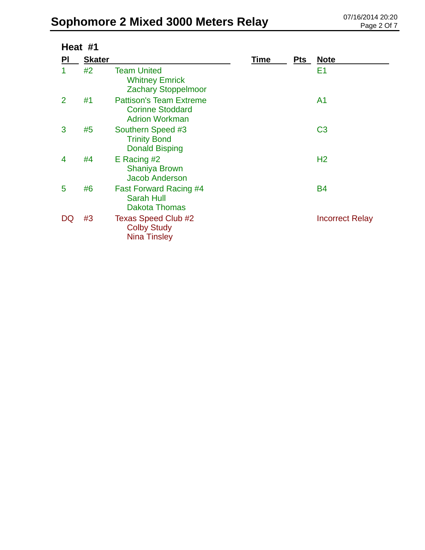|                | Heat #1       |                                                                                    |      |     |                        |
|----------------|---------------|------------------------------------------------------------------------------------|------|-----|------------------------|
| PI             | <b>Skater</b> |                                                                                    | Time | Pts | <b>Note</b>            |
| 1              | #2            | <b>Team United</b><br><b>Whitney Emrick</b><br><b>Zachary Stoppelmoor</b>          |      |     | E1                     |
| $\overline{2}$ | #1            | <b>Pattison's Team Extreme</b><br><b>Corinne Stoddard</b><br><b>Adrion Workman</b> |      |     | A <sub>1</sub>         |
| 3              | #5            | Southern Speed #3<br><b>Trinity Bond</b><br><b>Donald Bisping</b>                  |      |     | C <sub>3</sub>         |
| 4              | #4            | E Racing #2<br><b>Shaniya Brown</b><br><b>Jacob Anderson</b>                       |      |     | H <sub>2</sub>         |
| 5              | #6            | <b>Fast Forward Racing #4</b><br><b>Sarah Hull</b><br><b>Dakota Thomas</b>         |      |     | <b>B4</b>              |
| DQ             | #3            | Texas Speed Club #2<br><b>Colby Study</b><br><b>Nina Tinsley</b>                   |      |     | <b>Incorrect Relay</b> |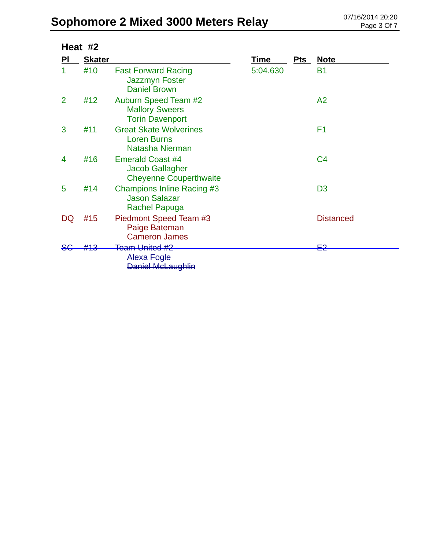|                | Heat #2       |                                                                                    |          |     |                  |  |  |
|----------------|---------------|------------------------------------------------------------------------------------|----------|-----|------------------|--|--|
| PI             | <b>Skater</b> |                                                                                    | Time     | Pts | <b>Note</b>      |  |  |
|                | #10           | <b>Fast Forward Racing</b><br><b>Jazzmyn Foster</b><br><b>Daniel Brown</b>         | 5:04.630 |     | <b>B1</b>        |  |  |
| $\overline{2}$ | #12           | <b>Auburn Speed Team #2</b><br><b>Mallory Sweers</b><br><b>Torin Davenport</b>     |          |     | A2               |  |  |
| 3              | #11           | <b>Great Skate Wolverines</b><br><b>Loren Burns</b><br>Natasha Nierman             |          |     | F <sub>1</sub>   |  |  |
| 4              | #16           | <b>Emerald Coast #4</b><br><b>Jacob Gallagher</b><br><b>Cheyenne Couperthwaite</b> |          |     | C <sub>4</sub>   |  |  |
| 5              | #14           | Champions Inline Racing #3<br><b>Jason Salazar</b><br><b>Rachel Papuga</b>         |          |     | D <sub>3</sub>   |  |  |
| DQ             | #15           | Piedmont Speed Team #3<br>Paige Bateman<br><b>Cameron James</b>                    |          |     | <b>Distanced</b> |  |  |
|                |               | <del>Team United #2</del><br>Alexa Fogle<br><b>Daniel McLaughlin</b>               |          |     | פ⊒               |  |  |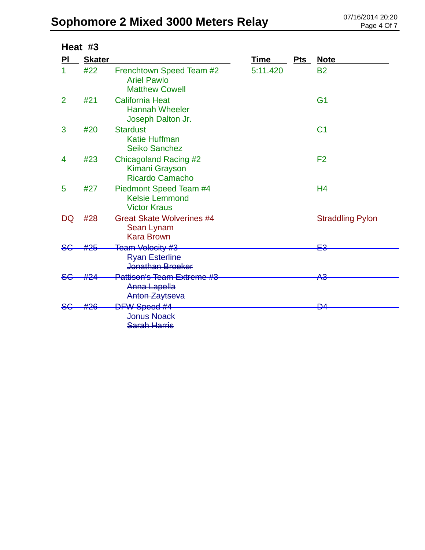|                | Heat #3       |                                                                         |             |     |                         |
|----------------|---------------|-------------------------------------------------------------------------|-------------|-----|-------------------------|
| PI             | <b>Skater</b> |                                                                         | <b>Time</b> | Pts | <b>Note</b>             |
|                | #22           | Frenchtown Speed Team #2<br><b>Ariel Pawlo</b><br><b>Matthew Cowell</b> | 5:11.420    |     | <b>B2</b>               |
| $\overline{2}$ | #21           | <b>California Heat</b><br><b>Hannah Wheeler</b><br>Joseph Dalton Jr.    |             |     | G <sub>1</sub>          |
| 3              | #20           | <b>Stardust</b><br><b>Katie Huffman</b><br><b>Seiko Sanchez</b>         |             |     | C <sub>1</sub>          |
| 4              | #23           | <b>Chicagoland Racing #2</b><br>Kimani Grayson<br>Ricardo Camacho       |             |     | F <sub>2</sub>          |
| 5              | #27           | Piedmont Speed Team #4<br><b>Kelsie Lemmond</b><br><b>Victor Kraus</b>  |             |     | H <sub>4</sub>          |
| DQ             | #28           | <b>Great Skate Wolverines #4</b><br>Sean Lynam<br><b>Kara Brown</b>     |             |     | <b>Straddling Pylon</b> |
|                |               | Team Velocity #3<br><b>Ryan Esterline</b><br>Jonathan Broeker           |             |     | ⊑≏                      |
|                |               | Pattison's Team Extreme #3<br>Anna Lapella<br><b>Anton Zaytseva</b>     |             |     | <del>АЗ</del>           |
|                |               | <b>DFW Speed #4</b><br><b>Jonus Noack</b><br><b>Sarah Harris</b>        |             |     | ₽                       |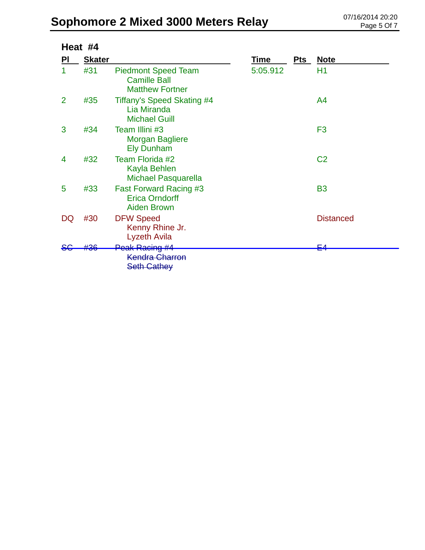|    | Heat #4       |                                                                              |          |     |                  |  |  |
|----|---------------|------------------------------------------------------------------------------|----------|-----|------------------|--|--|
| PI | <b>Skater</b> |                                                                              | Time     | Pts | <b>Note</b>      |  |  |
| 1  | #31           | <b>Piedmont Speed Team</b><br><b>Camille Ball</b><br><b>Matthew Fortner</b>  | 5:05.912 |     | H1               |  |  |
| 2  | #35           | Tiffany's Speed Skating #4<br>Lia Miranda<br><b>Michael Guill</b>            |          |     | A4               |  |  |
| 3  | #34           | Team Illini #3<br><b>Morgan Bagliere</b><br><b>Ely Dunham</b>                |          |     | F <sub>3</sub>   |  |  |
| 4  | #32           | Team Florida #2<br>Kayla Behlen<br><b>Michael Pasquarella</b>                |          |     | C <sub>2</sub>   |  |  |
| 5  | #33           | <b>Fast Forward Racing #3</b><br><b>Erica Orndorff</b><br><b>Aiden Brown</b> |          |     | <b>B3</b>        |  |  |
| DQ | #30           | <b>DFW Speed</b><br>Kenny Rhine Jr.<br><b>Lyzeth Avila</b>                   |          |     | <b>Distanced</b> |  |  |
|    | +26           | Peak Racing #4                                                               |          |     | ⊏∠               |  |  |
|    |               | <b>Kendra Charron</b>                                                        |          |     |                  |  |  |
|    |               | <b>Seth Cathey</b>                                                           |          |     |                  |  |  |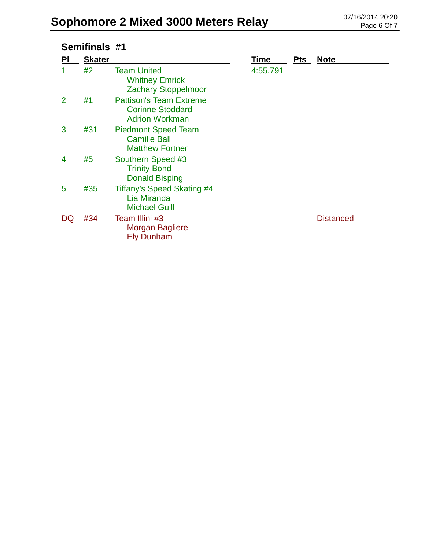## **Semifinals #1**

| PI | <b>Skater</b> |                                                                                    | Time     | <b>Pts</b> | <b>Note</b>      |
|----|---------------|------------------------------------------------------------------------------------|----------|------------|------------------|
|    | #2            | <b>Team United</b><br><b>Whitney Emrick</b><br><b>Zachary Stoppelmoor</b>          | 4:55.791 |            |                  |
| 2  | #1            | <b>Pattison's Team Extreme</b><br><b>Corinne Stoddard</b><br><b>Adrion Workman</b> |          |            |                  |
| 3  | #31           | <b>Piedmont Speed Team</b><br><b>Camille Ball</b><br><b>Matthew Fortner</b>        |          |            |                  |
| 4  | #5            | Southern Speed #3<br><b>Trinity Bond</b><br><b>Donald Bisping</b>                  |          |            |                  |
| 5  | #35           | Tiffany's Speed Skating #4<br>Lia Miranda<br><b>Michael Guill</b>                  |          |            |                  |
| DQ | #34           | Team Illini #3<br><b>Morgan Bagliere</b><br><b>Ely Dunham</b>                      |          |            | <b>Distanced</b> |